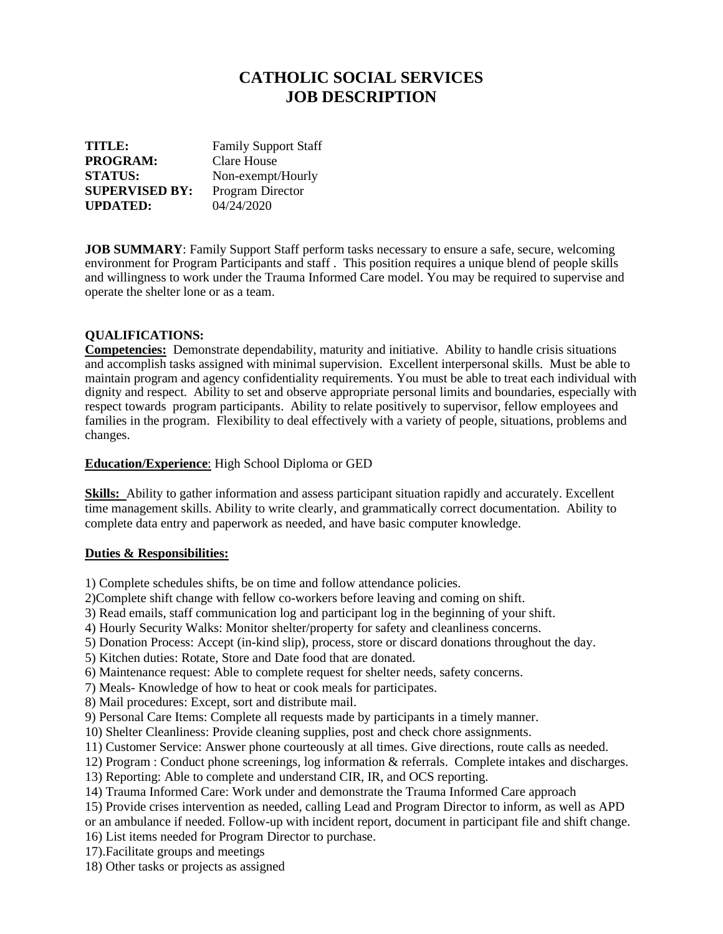## **CATHOLIC SOCIAL SERVICES JOB DESCRIPTION**

| TITLE:                | <b>Family Support Staff</b> |
|-----------------------|-----------------------------|
| <b>PROGRAM:</b>       | Clare House                 |
| <b>STATUS:</b>        | Non-exempt/Hourly           |
| <b>SUPERVISED BY:</b> | Program Director            |
| <b>UPDATED:</b>       | 04/24/2020                  |

**JOB SUMMARY**: Family Support Staff perform tasks necessary to ensure a safe, secure, welcoming environment for Program Participants and staff . This position requires a unique blend of people skills and willingness to work under the Trauma Informed Care model. You may be required to supervise and operate the shelter lone or as a team.

## **QUALIFICATIONS:**

**Competencies:** Demonstrate dependability, maturity and initiative. Ability to handle crisis situations and accomplish tasks assigned with minimal supervision. Excellent interpersonal skills. Must be able to maintain program and agency confidentiality requirements. You must be able to treat each individual with dignity and respect. Ability to set and observe appropriate personal limits and boundaries, especially with respect towards program participants. Ability to relate positively to supervisor, fellow employees and families in the program. Flexibility to deal effectively with a variety of people, situations, problems and changes.

## **Education/Experience**: High School Diploma or GED

**Skills:** Ability to gather information and assess participant situation rapidly and accurately. Excellent time management skills. Ability to write clearly, and grammatically correct documentation. Ability to complete data entry and paperwork as needed, and have basic computer knowledge.

## **Duties & Responsibilities:**

1) Complete schedules shifts, be on time and follow attendance policies.

- 2)Complete shift change with fellow co-workers before leaving and coming on shift.
- 3) Read emails, staff communication log and participant log in the beginning of your shift.
- 4) Hourly Security Walks: Monitor shelter/property for safety and cleanliness concerns.
- 5) Donation Process: Accept (in-kind slip), process, store or discard donations throughout the day.
- 5) Kitchen duties: Rotate, Store and Date food that are donated.
- 6) Maintenance request: Able to complete request for shelter needs, safety concerns.
- 7) Meals- Knowledge of how to heat or cook meals for participates.
- 8) Mail procedures: Except, sort and distribute mail.
- 9) Personal Care Items: Complete all requests made by participants in a timely manner.
- 10) Shelter Cleanliness: Provide cleaning supplies, post and check chore assignments.
- 11) Customer Service: Answer phone courteously at all times. Give directions, route calls as needed.
- 12) Program : Conduct phone screenings, log information & referrals. Complete intakes and discharges.
- 13) Reporting: Able to complete and understand CIR, IR, and OCS reporting.
- 14) Trauma Informed Care: Work under and demonstrate the Trauma Informed Care approach
- 15) Provide crises intervention as needed, calling Lead and Program Director to inform, as well as APD
- or an ambulance if needed. Follow-up with incident report, document in participant file and shift change.
- 16) List items needed for Program Director to purchase.
- 17).Facilitate groups and meetings
- 18) Other tasks or projects as assigned